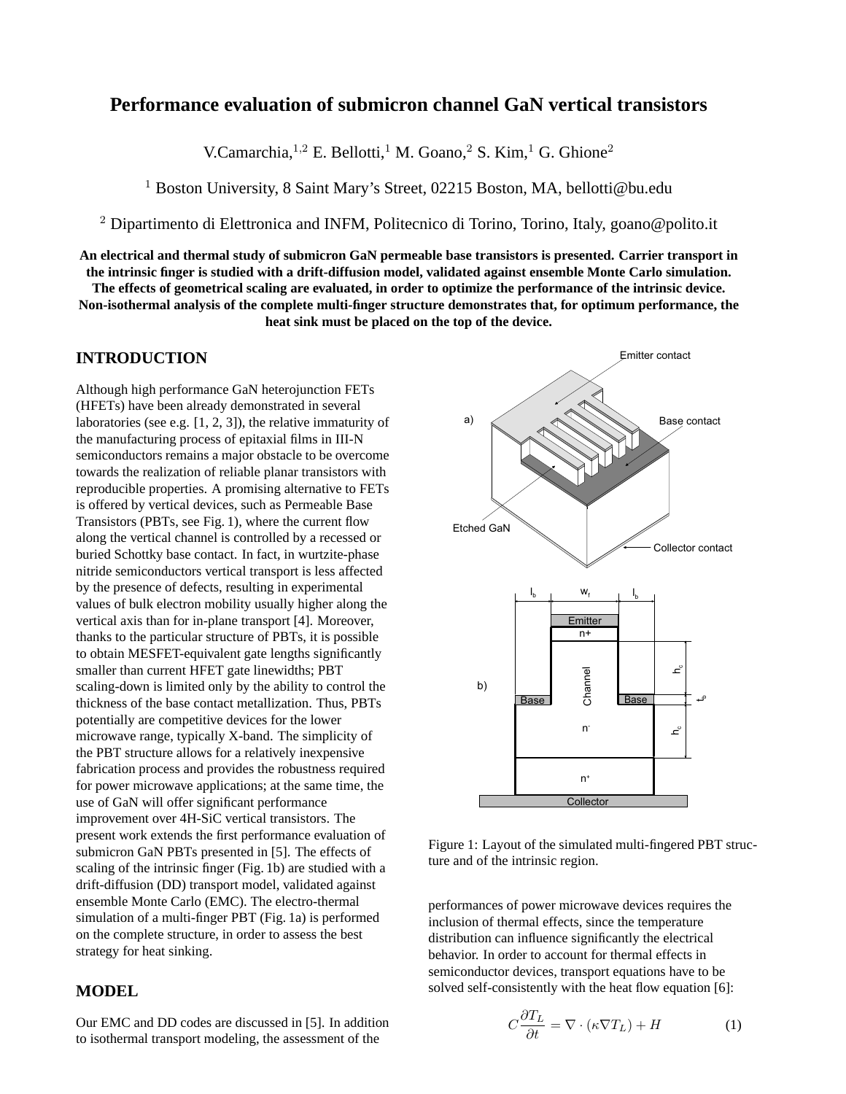# **Performance evaluation of submicron channel GaN vertical transistors**

V.Camarchia,<sup>1,2</sup> E. Bellotti,<sup>1</sup> M. Goano,<sup>2</sup> S. Kim,<sup>1</sup> G. Ghione<sup>2</sup>

<sup>1</sup> Boston University, 8 Saint Mary's Street, 02215 Boston, MA, bellotti@bu.edu

<sup>2</sup> Dipartimento di Elettronica and INFM, Politecnico di Torino, Torino, Italy, goano@polito.it

**An electrical and thermal study of submicron GaN permeable base transistors is presented. Carrier transport in the intrinsic finger is studied with a drift-diffusion model, validated against ensemble Monte Carlo simulation. The effects of geometrical scaling are evaluated, in order to optimize the performance of the intrinsic device.**

**Non-isothermal analysis of the complete multi-finger structure demonstrates that, for optimum performance, the heat sink must be placed on the top of the device.**

## **INTRODUCTION**

Although high performance GaN heterojunction FETs (HFETs) have been already demonstrated in several laboratories (see e.g. [1, 2, 3]), the relative immaturity of the manufacturing process of epitaxial films in III-N semiconductors remains a major obstacle to be overcome towards the realization of reliable planar transistors with reproducible properties. A promising alternative to FETs is offered by vertical devices, such as Permeable Base Transistors (PBTs, see Fig. 1), where the current flow along the vertical channel is controlled by a recessed or buried Schottky base contact. In fact, in wurtzite-phase nitride semiconductors vertical transport is less affected by the presence of defects, resulting in experimental values of bulk electron mobility usually higher along the vertical axis than for in-plane transport [4]. Moreover, thanks to the particular structure of PBTs, it is possible to obtain MESFET-equivalent gate lengths significantly smaller than current HFET gate linewidths; PBT scaling-down is limited only by the ability to control the thickness of the base contact metallization. Thus, PBTs potentially are competitive devices for the lower microwave range, typically X-band. The simplicity of the PBT structure allows for a relatively inexpensive fabrication process and provides the robustness required for power microwave applications; at the same time, the use of GaN will offer significant performance improvement over 4H-SiC vertical transistors. The present work extends the first performance evaluation of submicron GaN PBTs presented in [5]. The effects of scaling of the intrinsic finger (Fig. 1b) are studied with a drift-diffusion (DD) transport model, validated against ensemble Monte Carlo (EMC). The electro-thermal simulation of a multi-finger PBT (Fig. 1a) is performed on the complete structure, in order to assess the best strategy for heat sinking.

## **MODEL**

Our EMC and DD codes are discussed in [5]. In addition to isothermal transport modeling, the assessment of the



Figure 1: Layout of the simulated multi-fingered PBT structure and of the intrinsic region.

performances of power microwave devices requires the inclusion of thermal effects, since the temperature distribution can influence significantly the electrical behavior. In order to account for thermal effects in semiconductor devices, transport equations have to be solved self-consistently with the heat flow equation [6]:

$$
C\frac{\partial T_L}{\partial t} = \nabla \cdot (\kappa \nabla T_L) + H \tag{1}
$$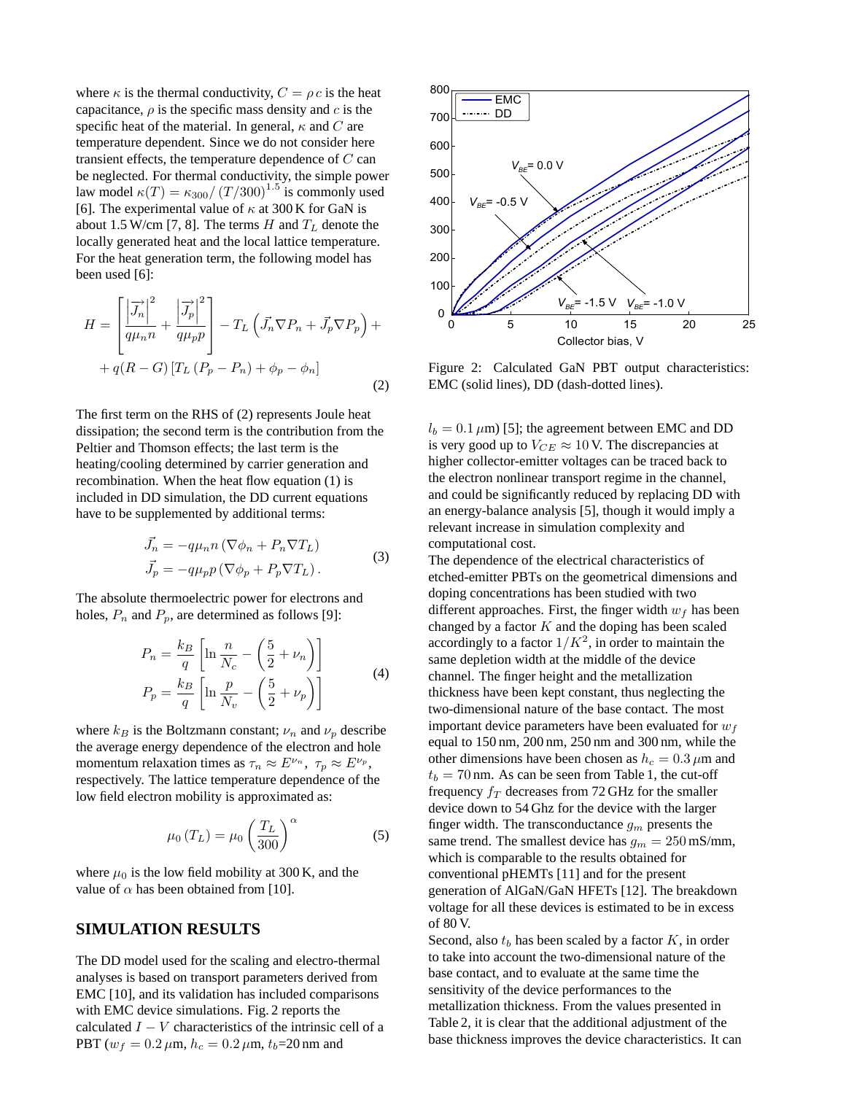where  $\kappa$  is the thermal conductivity,  $C = \rho c$  is the heat capacitance,  $\rho$  is the specific mass density and c is the specific heat of the material. In general,  $\kappa$  and C are temperature dependent. Since we do not consider here transient effects, the temperature dependence of  $C$  can be neglected. For thermal conductivity, the simple power law model  $\kappa(T) = \kappa_{300}/(T/300)^{1.5}$  is commonly used [6]. The experimental value of  $\kappa$  at 300 K for GaN is about 1.5 W/cm [7, 8]. The terms H and  $T_L$  denote the locally generated heat and the local lattice temperature. For the heat generation term, the following model has been used [6]:

$$
H = \left[\frac{\left|\overrightarrow{J_n}\right|^2}{q\mu_n n} + \frac{\left|\overrightarrow{J_p}\right|^2}{q\mu_p p}\right] - T_L \left(\overrightarrow{J_n} \nabla P_n + \overrightarrow{J_p} \nabla P_p\right) +
$$

$$
+ q(R - G) \left[T_L \left(P_p - P_n\right) + \phi_p - \phi_n\right]
$$
(2)

The first term on the RHS of (2) represents Joule heat dissipation; the second term is the contribution from the Peltier and Thomson effects; the last term is the heating/cooling determined by carrier generation and recombination. When the heat flow equation (1) is included in DD simulation, the DD current equations have to be supplemented by additional terms:

$$
\vec{J}_n = -q\mu_n n \left( \nabla \phi_n + P_n \nabla T_L \right)
$$
  
\n
$$
\vec{J}_p = -q\mu_p p \left( \nabla \phi_p + P_p \nabla T_L \right).
$$
\n(3)

The absolute thermoelectric power for electrons and holes,  $P_n$  and  $P_p$ , are determined as follows [9]:

$$
P_n = \frac{k_B}{q} \left[ \ln \frac{n}{N_c} - \left( \frac{5}{2} + \nu_n \right) \right]
$$
  
\n
$$
P_p = \frac{k_B}{q} \left[ \ln \frac{p}{N_v} - \left( \frac{5}{2} + \nu_p \right) \right]
$$
 (4)

where  $k_B$  is the Boltzmann constant;  $\nu_n$  and  $\nu_p$  describe the average energy dependence of the electron and hole momentum relaxation times as  $\tau_n \approx E^{\nu_n}$ ,  $\tau_p \approx E^{\nu_p}$ , respectively. The lattice temperature dependence of the low field electron mobility is approximated as:

$$
\mu_0(T_L) = \mu_0 \left(\frac{T_L}{300}\right)^\alpha \tag{5}
$$

where  $\mu_0$  is the low field mobility at 300 K, and the value of  $\alpha$  has been obtained from [10].

#### **SIMULATION RESULTS**

The DD model used for the scaling and electro-thermal analyses is based on transport parameters derived from EMC [10], and its validation has included comparisons with EMC device simulations. Fig. 2 reports the calculated  $I - V$  characteristics of the intrinsic cell of a



Figure 2: Calculated GaN PBT output characteristics: EMC (solid lines), DD (dash-dotted lines).

 $l_b = 0.1 \,\mu\text{m}$ ) [5]; the agreement between EMC and DD is very good up to  $V_{CE} \approx 10$  V. The discrepancies at higher collector-emitter voltages can be traced back to the electron nonlinear transport regime in the channel, and could be significantly reduced by replacing DD with an energy-balance analysis [5], though it would imply a relevant increase in simulation complexity and computational cost.

 $H = \left| \frac{q_{\text{min}}}{q_{\text{min}} + \frac{1}{q_{\text{min}}}} \right| = T_1 \left( J_2 \nabla P_2 + J_3 \nabla P_3 \right) = 0$ <br>  $\therefore q_l (R - G) | I_L (F_1 - F_1) | \phi_l - \phi_h |$ <br>  $\therefore Q_l (R - G) | I_L (F_1 - F_1) | \phi_l - \phi_h |$ <br>  $\therefore Q_l (R - G) | I_L (F_1 - F_1) | \phi_l - \phi_h |$ <br>  $\therefore Q_l (R - G) | I_R (F_1 - F_1) | \phi_l - \phi_h |$ <br>  $\phi$ The dependence of the electrical characteristics of etched-emitter PBTs on the geometrical dimensions and doping concentrations has been studied with two different approaches. First, the finger width  $w_f$  has been changed by a factor  $K$  and the doping has been scaled accordingly to a factor  $1/K^2$ , in order to maintain the same depletion width at the middle of the device channel. The finger height and the metallization thickness have been kept constant, thus neglecting the two-dimensional nature of the base contact. The most important device parameters have been evaluated for  $w_f$ equal to 150 nm, 200 nm, 250 nm and 300 nm, while the other dimensions have been chosen as  $h_c = 0.3 \,\mu$ m and  $t_b = 70$  nm. As can be seen from Table 1, the cut-off frequency  $f_T$  decreases from 72 GHz for the smaller device down to 54 Ghz for the device with the larger finger width. The transconductance  $g_m$  presents the same trend. The smallest device has  $g_m = 250$  mS/mm, which is comparable to the results obtained for conventional pHEMTs [11] and for the present generation of AlGaN/GaN HFETs [12]. The breakdown voltage for all these devices is estimated to be in excess of 80 V.

Second, also  $t_b$  has been scaled by a factor  $K$ , in order to take into account the two-dimensional nature of the base contact, and to evaluate at the same time the sensitivity of the device performances to the metallization thickness. From the values presented in Table 2, it is clear that the additional adjustment of the base thickness improves the device characteristics. It can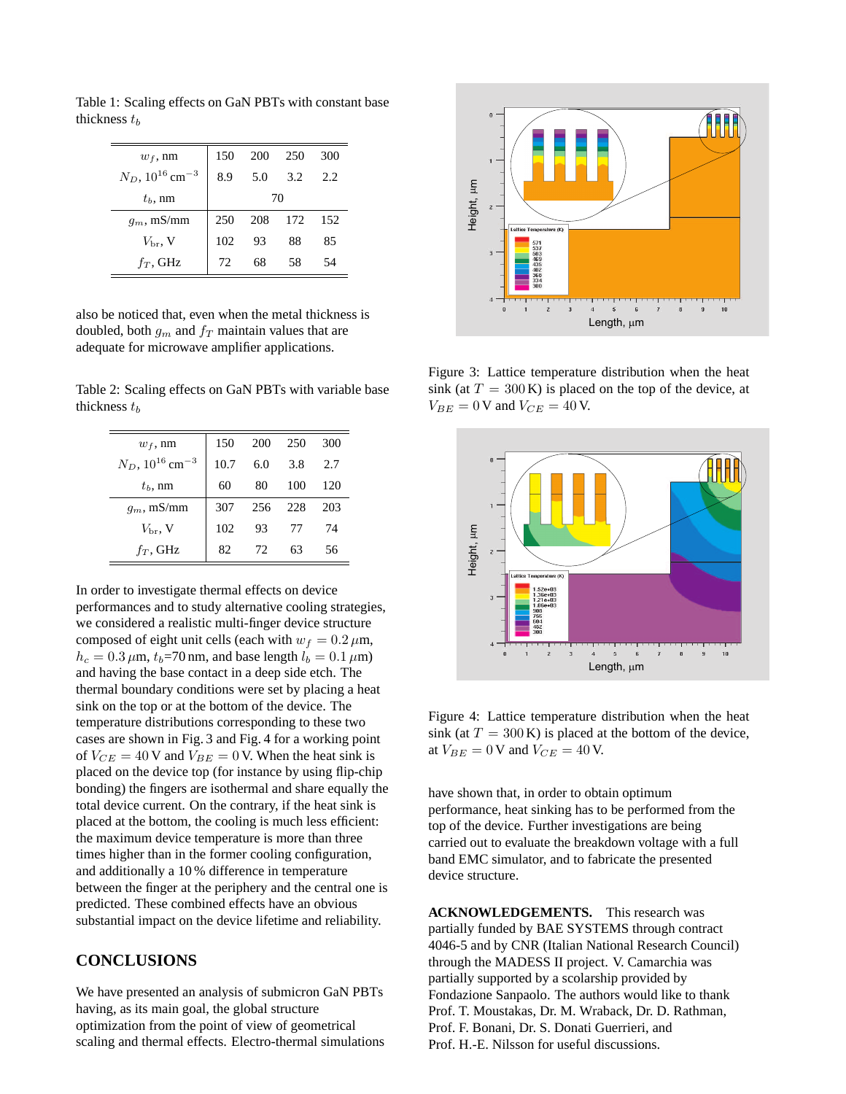Table 1: Scaling effects on GaN PBTs with constant base thickness  $t<sub>b</sub>$ 

| $w_f$ , nm                        | 150 | <b>200</b> | 250     | 300 |  |
|-----------------------------------|-----|------------|---------|-----|--|
| $N_D,\,10^{16}\,\mathrm{cm^{-3}}$ | 8.9 | 5.0        | 3.2     | 2.2 |  |
| $tb$ , nm                         | 70  |            |         |     |  |
| $q_m$ , mS/mm                     | 250 |            | 208 172 | 152 |  |
| $V_{\rm br}$ , V                  | 102 | 93         | 88      | 85  |  |
| $f_T$ , GHz                       | 72  | 68         | 58      | 54  |  |

also be noticed that, even when the metal thickness is doubled, both  $g_m$  and  $f_T$  maintain values that are adequate for microwave amplifier applications.

Table 2: Scaling effects on GaN PBTs with variable base thickness  $t_b$ 

| $w_f$ , nm                        | 150  | 200 | 250  | 300 |
|-----------------------------------|------|-----|------|-----|
| $N_D,\,10^{16}\,\mathrm{cm^{-3}}$ | 10.7 | 6.0 | 3.8  | 2.7 |
| $t_b$ , nm                        | 60   | 80  | 100  | 120 |
| $g_m$ , mS/mm                     | 307  | 256 | 228  | 203 |
| $V_{\rm br}$ , V                  | 102  | 93  | - 77 | 74  |
| $f_T$ , GHz                       | 82   | 72  | 63   | 56  |

In order to investigate thermal effects on device performances and to study alternative cooling strategies, we considered a realistic multi-finger device structure composed of eight unit cells (each with  $w_f = 0.2 \,\mu\text{m}$ ,  $h_c = 0.3 \,\mu\text{m}$ ,  $t_b = 70 \,\text{nm}$ , and base length  $l_b = 0.1 \,\mu\text{m}$ ) and having the base contact in a deep side etch. The thermal boundary conditions were set by placing a heat sink on the top or at the bottom of the device. The temperature distributions corresponding to these two cases are shown in Fig. 3 and Fig. 4 for a working point of  $V_{CE} = 40$  V and  $V_{BE} = 0$  V. When the heat sink is placed on the device top (for instance by using flip-chip bonding) the fingers are isothermal and share equally the total device current. On the contrary, if the heat sink is placed at the bottom, the cooling is much less efficient: the maximum device temperature is more than three times higher than in the former cooling configuration, and additionally a 10 % difference in temperature between the finger at the periphery and the central one is predicted. These combined effects have an obvious substantial impact on the device lifetime and reliability.

## **CONCLUSIONS**

We have presented an analysis of submicron GaN PBTs having, as its main goal, the global structure optimization from the point of view of geometrical scaling and thermal effects. Electro-thermal simulations



Figure 3: Lattice temperature distribution when the heat sink (at  $T = 300 \text{ K}$ ) is placed on the top of the device, at  $V_{BE} = 0$  V and  $V_{CE} = 40$  V.



Figure 4: Lattice temperature distribution when the heat sink (at  $T = 300 \text{ K}$ ) is placed at the bottom of the device, at  $V_{BE} = 0$  V and  $V_{CE} = 40$  V.

have shown that, in order to obtain optimum performance, heat sinking has to be performed from the top of the device. Further investigations are being carried out to evaluate the breakdown voltage with a full band EMC simulator, and to fabricate the presented device structure.

**ACKNOWLEDGEMENTS.** This research was partially funded by BAE SYSTEMS through contract 4046-5 and by CNR (Italian National Research Council) through the MADESS II project. V. Camarchia was partially supported by a scolarship provided by Fondazione Sanpaolo. The authors would like to thank Prof. T. Moustakas, Dr. M. Wraback, Dr. D. Rathman, Prof. F. Bonani, Dr. S. Donati Guerrieri, and Prof. H.-E. Nilsson for useful discussions.